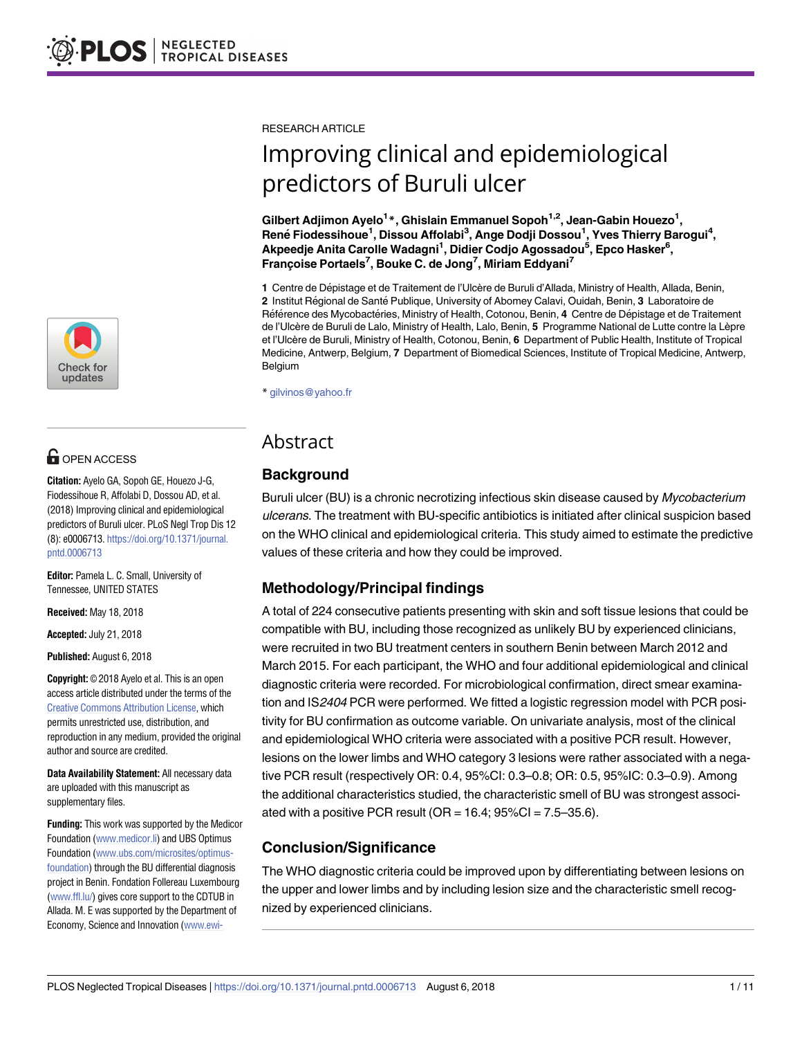[a1111111111](http://crossmark.crossref.org/dialog/?doi=10.1371/journal.pntd.0006713&domain=pdf&date_stamp=2018-08-16) [a1111111111](http://crossmark.crossref.org/dialog/?doi=10.1371/journal.pntd.0006713&domain=pdf&date_stamp=2018-08-16) [a1111111111](http://crossmark.crossref.org/dialog/?doi=10.1371/journal.pntd.0006713&domain=pdf&date_stamp=2018-08-16) Check for updates

# **OPEN ACCESS**

**Citation:** Ayelo GA, Sopoh GE, Houezo J-G, Fiodessihoue R, Affolabi D, Dossou AD, et al. (2018) Improving clinical and epidemiological predictors of Buruli ulcer. PLoS Negl Trop Dis 12 (8): e0006713. [https://doi.org/10.1371/journal.](https://doi.org/10.1371/journal.pntd.0006713) [pntd.0006713](https://doi.org/10.1371/journal.pntd.0006713)

**Editor:** Pamela L. C. Small, University of Tennessee, UNITED STATES

**Received:** May 18, 2018

**Accepted:** July 21, 2018

**Published:** August 6, 2018

**Copyright:** © 2018 Ayelo et al. This is an open access article distributed under the terms of the Creative Commons [Attribution](http://creativecommons.org/licenses/by/4.0/) License, which permits unrestricted use, distribution, and reproduction in any medium, provided the original author and source are credited.

**Data Availability Statement:** All necessary data are uploaded with this manuscript as supplementary files.

**Funding:** This work was supported by the Medicor Foundation [\(www.medicor.li\)](http://www.medicor.li) and UBS Optimus Foundation [\(www.ubs.com/microsites/optimus](http://www.ubs.com/microsites/optimus-foundation)[foundation\)](http://www.ubs.com/microsites/optimus-foundation) through the BU differential diagnosis project in Benin. Fondation Follereau Luxembourg [\(www.ffl.lu/](http://www.ffl.lu/)) gives core support to the CDTUB in Allada. M. E was supported by the Department of Economy, Science and Innovation [\(www.ewi-](http://www.ewi-vlaanderen.be/) RESEARCH ARTICLE

# Improving clinical and epidemiological predictors of Buruli ulcer

**Gilbert Adjimon Ayelo1 \*, Ghislain Emmanuel Sopoh1,2, Jean-Gabin Houezo1 , Rene´ Fiodessihoue1 , Dissou Affolabi3 , Ange Dodji Dossou1 , Yves Thierry Barogui4 , Akpeedje Anita Carolle Wadagni1 , Didier Codjo Agossadou5 , Epco Hasker6 , Franc¸oise Portaels7 , Bouke C. de Jong7 , Miriam Eddyani7**

1 Centre de Dépistage et de Traitement de l'Ulcère de Buruli d'Allada, Ministry of Health, Allada, Benin, 2 Institut Régional de Santé Publique, University of Abomey Calavi, Ouidah, Benin, 3 Laboratoire de Référence des Mycobactéries, Ministry of Health, Cotonou, Benin, 4 Centre de Dépistage et de Traitement de l'Ulcère de Buruli de Lalo, Ministry of Health, Lalo, Benin, **5** Programme National de Lutte contre la Lèpre et l'Ulcère de Buruli, Ministry of Health, Cotonou, Benin, **6** Department of Public Health, Institute of Tropical Medicine, Antwerp, Belgium, **7** Department of Biomedical Sciences, Institute of Tropical Medicine, Antwerp, Belgium

\* gilvinos@yahoo.fr

# Abstract

# **Background**

Buruli ulcer (BU) is a chronic necrotizing infectious skin disease caused by Mycobacterium ulcerans. The treatment with BU-specific antibiotics is initiated after clinical suspicion based on the WHO clinical and epidemiological criteria. This study aimed to estimate the predictive values of these criteria and how they could be improved.

# **Methodology/Principal findings**

A total of 224 consecutive patients presenting with skin and soft tissue lesions that could be compatible with BU, including those recognized as unlikely BU by experienced clinicians, were recruited in two BU treatment centers in southern Benin between March 2012 and March 2015. For each participant, the WHO and four additional epidemiological and clinical diagnostic criteria were recorded. For microbiological confirmation, direct smear examination and IS2404 PCR were performed. We fitted a logistic regression model with PCR positivity for BU confirmation as outcome variable. On univariate analysis, most of the clinical and epidemiological WHO criteria were associated with a positive PCR result. However, lesions on the lower limbs and WHO category 3 lesions were rather associated with a negative PCR result (respectively OR: 0.4, 95%CI: 0.3–0.8; OR: 0.5, 95%IC: 0.3–0.9). Among the additional characteristics studied, the characteristic smell of BU was strongest associated with a positive PCR result (OR =  $16.4$ ;  $95\%$ CI =  $7.5-35.6$ ).

# **Conclusion/Significance**

The WHO diagnostic criteria could be improved upon by differentiating between lesions on the upper and lower limbs and by including lesion size and the characteristic smell recognized by experienced clinicians.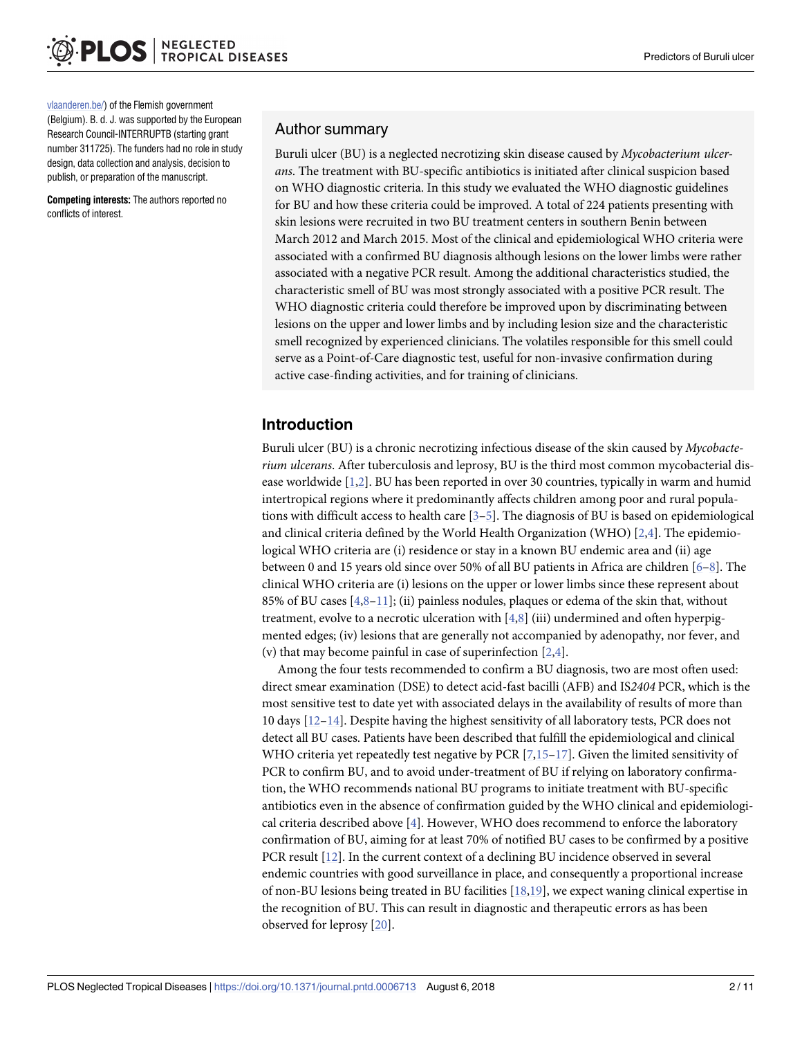<span id="page-1-0"></span>[vlaanderen.be/](http://www.ewi-vlaanderen.be/)) of the Flemish government (Belgium). B. d. J. was supported by the European Research Council-INTERRUPTB (starting grant number 311725). The funders had no role in study design, data collection and analysis, decision to publish, or preparation of the manuscript.

**Competing interests:** The authors reported no conflicts of interest.

#### Author summary

Buruli ulcer (BU) is a neglected necrotizing skin disease caused by *Mycobacterium ulcerans*. The treatment with BU-specific antibiotics is initiated after clinical suspicion based on WHO diagnostic criteria. In this study we evaluated the WHO diagnostic guidelines for BU and how these criteria could be improved. A total of 224 patients presenting with skin lesions were recruited in two BU treatment centers in southern Benin between March 2012 and March 2015. Most of the clinical and epidemiological WHO criteria were associated with a confirmed BU diagnosis although lesions on the lower limbs were rather associated with a negative PCR result. Among the additional characteristics studied, the characteristic smell of BU was most strongly associated with a positive PCR result. The WHO diagnostic criteria could therefore be improved upon by discriminating between lesions on the upper and lower limbs and by including lesion size and the characteristic smell recognized by experienced clinicians. The volatiles responsible for this smell could serve as a Point-of-Care diagnostic test, useful for non-invasive confirmation during active case-finding activities, and for training of clinicians.

# **Introduction**

Buruli ulcer (BU) is a chronic necrotizing infectious disease of the skin caused by *Mycobacterium ulcerans*. After tuberculosis and leprosy, BU is the third most common mycobacterial disease worldwide [[1](#page-8-0),[2](#page-8-0)]. BU has been reported in over 30 countries, typically in warm and humid intertropical regions where it predominantly affects children among poor and rural populations with difficult access to health care  $[3-5]$ . The diagnosis of BU is based on epidemiological and clinical criteria defined by the World Health Organization (WHO)  $[2,4]$  $[2,4]$  $[2,4]$  $[2,4]$  $[2,4]$ . The epidemiological WHO criteria are (i) residence or stay in a known BU endemic area and (ii) age between 0 and 15 years old since over 50% of all BU patients in Africa are children [[6](#page-8-0)–[8](#page-8-0)]. The clinical WHO criteria are (i) lesions on the upper or lower limbs since these represent about 85% of BU cases [\[4,8–11\]](#page-8-0); (ii) painless nodules, plaques or edema of the skin that, without treatment, evolve to a necrotic ulceration with  $[4,8]$  $[4,8]$  $[4,8]$  $[4,8]$  $[4,8]$  (iii) undermined and often hyperpigmented edges; (iv) lesions that are generally not accompanied by adenopathy, nor fever, and (v) that may become painful in case of superinfection [[2,4\]](#page-8-0).

Among the four tests recommended to confirm a BU diagnosis, two are most often used: direct smear examination (DSE) to detect acid-fast bacilli (AFB) and IS*2404* PCR, which is the most sensitive test to date yet with associated delays in the availability of results of more than 10 days [\[12–](#page-8-0)[14](#page-9-0)]. Despite having the highest sensitivity of all laboratory tests, PCR does not detect all BU cases. Patients have been described that fulfill the epidemiological and clinical WHO criteria yet repeatedly test negative by PCR  $[7,15-17]$  $[7,15-17]$ . Given the limited sensitivity of PCR to confirm BU, and to avoid under-treatment of BU if relying on laboratory confirmation, the WHO recommends national BU programs to initiate treatment with BU-specific antibiotics even in the absence of confirmation guided by the WHO clinical and epidemiological criteria described above [\[4](#page-8-0)]. However, WHO does recommend to enforce the laboratory confirmation of BU, aiming for at least 70% of notified BU cases to be confirmed by a positive PCR result [[12](#page-8-0)]. In the current context of a declining BU incidence observed in several endemic countries with good surveillance in place, and consequently a proportional increase of non-BU lesions being treated in BU facilities [[18](#page-9-0),[19](#page-9-0)], we expect waning clinical expertise in the recognition of BU. This can result in diagnostic and therapeutic errors as has been observed for leprosy [\[20\]](#page-9-0).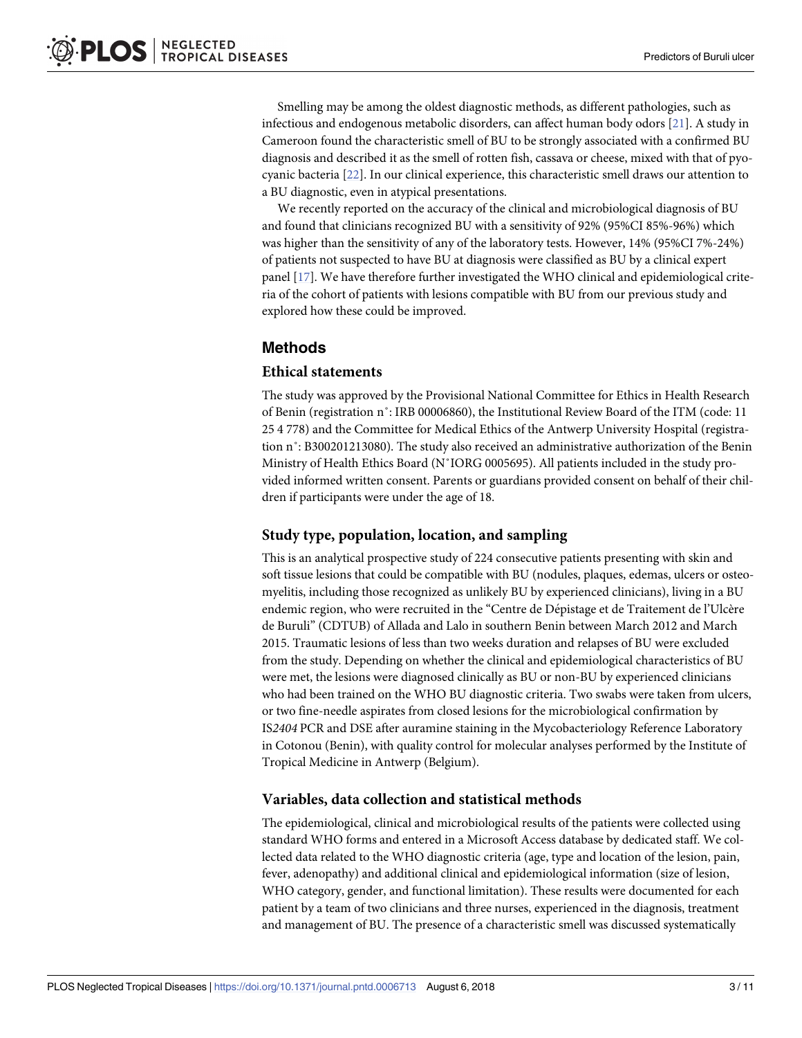<span id="page-2-0"></span>Smelling may be among the oldest diagnostic methods, as different pathologies, such as infectious and endogenous metabolic disorders, can affect human body odors [[21](#page-9-0)]. A study in Cameroon found the characteristic smell of BU to be strongly associated with a confirmed BU diagnosis and described it as the smell of rotten fish, cassava or cheese, mixed with that of pyocyanic bacteria [[22](#page-9-0)]. In our clinical experience, this characteristic smell draws our attention to a BU diagnostic, even in atypical presentations.

We recently reported on the accuracy of the clinical and microbiological diagnosis of BU and found that clinicians recognized BU with a sensitivity of 92% (95%CI 85%-96%) which was higher than the sensitivity of any of the laboratory tests. However, 14% (95%CI 7%-24%) of patients not suspected to have BU at diagnosis were classified as BU by a clinical expert panel [\[17\]](#page-9-0). We have therefore further investigated the WHO clinical and epidemiological criteria of the cohort of patients with lesions compatible with BU from our previous study and explored how these could be improved.

#### **Methods**

#### **Ethical statements**

The study was approved by the Provisional National Committee for Ethics in Health Research of Benin (registration n˚: IRB 00006860), the Institutional Review Board of the ITM (code: 11 25 4 778) and the Committee for Medical Ethics of the Antwerp University Hospital (registration n˚: B300201213080). The study also received an administrative authorization of the Benin Ministry of Health Ethics Board (N˚IORG 0005695). All patients included in the study provided informed written consent. Parents or guardians provided consent on behalf of their children if participants were under the age of 18.

#### **Study type, population, location, and sampling**

This is an analytical prospective study of 224 consecutive patients presenting with skin and soft tissue lesions that could be compatible with BU (nodules, plaques, edemas, ulcers or osteomyelitis, including those recognized as unlikely BU by experienced clinicians), living in a BU endemic region, who were recruited in the "Centre de Dépistage et de Traitement de l'Ulcère de Buruli" (CDTUB) of Allada and Lalo in southern Benin between March 2012 and March 2015. Traumatic lesions of less than two weeks duration and relapses of BU were excluded from the study. Depending on whether the clinical and epidemiological characteristics of BU were met, the lesions were diagnosed clinically as BU or non-BU by experienced clinicians who had been trained on the WHO BU diagnostic criteria. Two swabs were taken from ulcers, or two fine-needle aspirates from closed lesions for the microbiological confirmation by IS*2404* PCR and DSE after auramine staining in the Mycobacteriology Reference Laboratory in Cotonou (Benin), with quality control for molecular analyses performed by the Institute of Tropical Medicine in Antwerp (Belgium).

#### **Variables, data collection and statistical methods**

The epidemiological, clinical and microbiological results of the patients were collected using standard WHO forms and entered in a Microsoft Access database by dedicated staff. We collected data related to the WHO diagnostic criteria (age, type and location of the lesion, pain, fever, adenopathy) and additional clinical and epidemiological information (size of lesion, WHO category, gender, and functional limitation). These results were documented for each patient by a team of two clinicians and three nurses, experienced in the diagnosis, treatment and management of BU. The presence of a characteristic smell was discussed systematically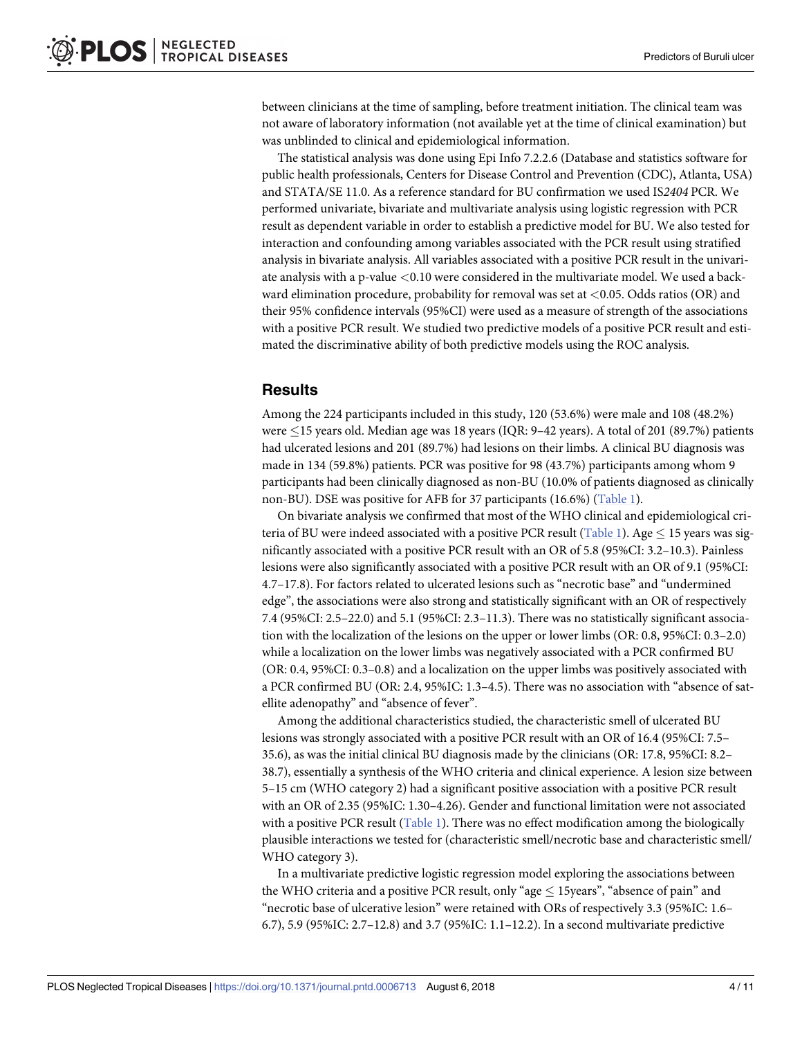<span id="page-3-0"></span>between clinicians at the time of sampling, before treatment initiation. The clinical team was not aware of laboratory information (not available yet at the time of clinical examination) but was unblinded to clinical and epidemiological information.

The statistical analysis was done using Epi Info 7.2.2.6 (Database and statistics software for public health professionals, Centers for Disease Control and Prevention (CDC), Atlanta, USA) and STATA/SE 11.0. As a reference standard for BU confirmation we used IS*2404* PCR. We performed univariate, bivariate and multivariate analysis using logistic regression with PCR result as dependent variable in order to establish a predictive model for BU. We also tested for interaction and confounding among variables associated with the PCR result using stratified analysis in bivariate analysis. All variables associated with a positive PCR result in the univariate analysis with a p-value *<*0.10 were considered in the multivariate model. We used a backward elimination procedure, probability for removal was set at *<*0.05. Odds ratios (OR) and their 95% confidence intervals (95%CI) were used as a measure of strength of the associations with a positive PCR result. We studied two predictive models of a positive PCR result and estimated the discriminative ability of both predictive models using the ROC analysis.

#### **Results**

Among the 224 participants included in this study, 120 (53.6%) were male and 108 (48.2%) were  $\leq$  15 years old. Median age was 18 years (IQR: 9-42 years). A total of 201 (89.7%) patients had ulcerated lesions and 201 (89.7%) had lesions on their limbs. A clinical BU diagnosis was made in 134 (59.8%) patients. PCR was positive for 98 (43.7%) participants among whom 9 participants had been clinically diagnosed as non-BU (10.0% of patients diagnosed as clinically non-BU). DSE was positive for AFB for 37 participants (16.6%) [\(Table](#page-4-0) 1).

On bivariate analysis we confirmed that most of the WHO clinical and epidemiological cri-teria of BU were indeed associated with a positive PCR result ([Table](#page-4-0) 1). Age  $\leq$  15 years was significantly associated with a positive PCR result with an OR of 5.8 (95%CI: 3.2–10.3). Painless lesions were also significantly associated with a positive PCR result with an OR of 9.1 (95%CI: 4.7–17.8). For factors related to ulcerated lesions such as "necrotic base" and "undermined edge", the associations were also strong and statistically significant with an OR of respectively 7.4 (95%CI: 2.5–22.0) and 5.1 (95%CI: 2.3–11.3). There was no statistically significant association with the localization of the lesions on the upper or lower limbs (OR: 0.8, 95%CI: 0.3–2.0) while a localization on the lower limbs was negatively associated with a PCR confirmed BU (OR: 0.4, 95%CI: 0.3–0.8) and a localization on the upper limbs was positively associated with a PCR confirmed BU (OR: 2.4, 95%IC: 1.3–4.5). There was no association with "absence of satellite adenopathy" and "absence of fever".

Among the additional characteristics studied, the characteristic smell of ulcerated BU lesions was strongly associated with a positive PCR result with an OR of 16.4 (95%CI: 7.5– 35.6), as was the initial clinical BU diagnosis made by the clinicians (OR: 17.8, 95%CI: 8.2– 38.7), essentially a synthesis of the WHO criteria and clinical experience. A lesion size between 5–15 cm (WHO category 2) had a significant positive association with a positive PCR result with an OR of 2.35 (95%IC: 1.30–4.26). Gender and functional limitation were not associated with a positive PCR result [\(Table](#page-4-0) 1). There was no effect modification among the biologically plausible interactions we tested for (characteristic smell/necrotic base and characteristic smell/ WHO category 3).

In a multivariate predictive logistic regression model exploring the associations between the WHO criteria and a positive PCR result, only "age  $\leq$  15years", "absence of pain" and "necrotic base of ulcerative lesion" were retained with ORs of respectively 3.3 (95%IC: 1.6– 6.7), 5.9 (95%IC: 2.7–12.8) and 3.7 (95%IC: 1.1–12.2). In a second multivariate predictive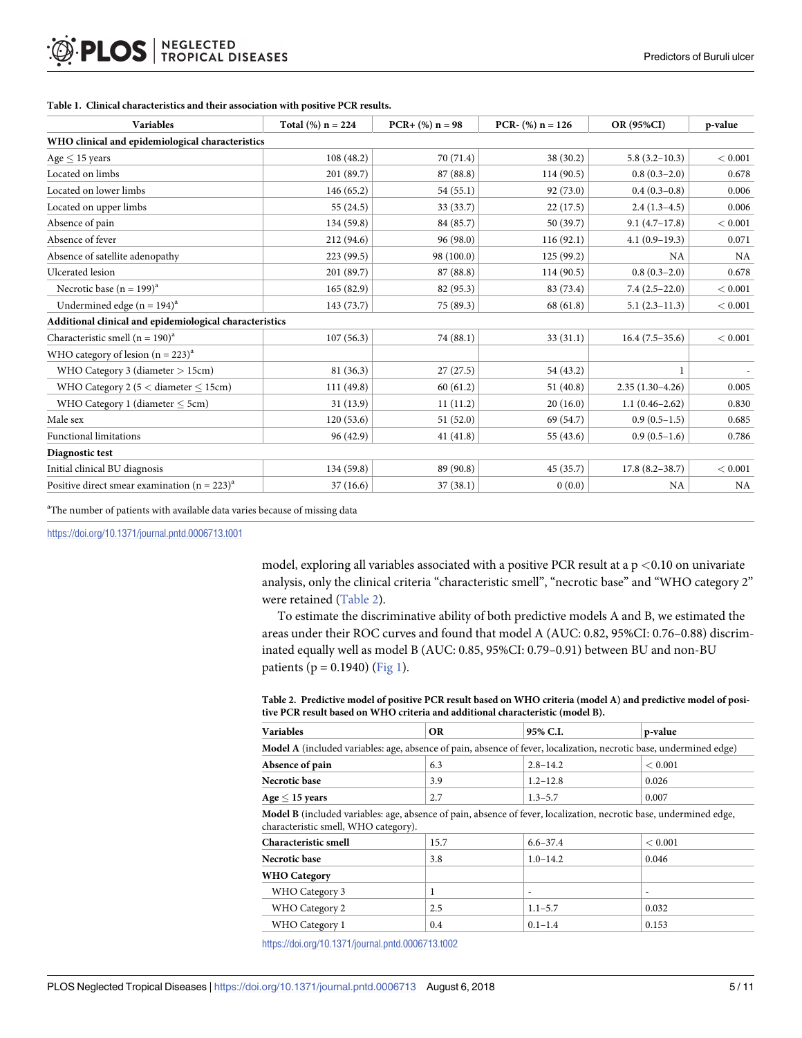| <b>Variables</b>                                        | Total $(\%)$ n = 224 | $PCR + (%) n = 98$ | PCR- $(\%)$ n = 126 | OR (95%CI)         | p-value   |  |  |  |
|---------------------------------------------------------|----------------------|--------------------|---------------------|--------------------|-----------|--|--|--|
| WHO clinical and epidemiological characteristics        |                      |                    |                     |                    |           |  |  |  |
| $Age < 15$ years                                        | 108(48.2)            | 70 (71.4)          | 38 (30.2)           | $5.8(3.2 - 10.3)$  | < 0.001   |  |  |  |
| Located on limbs                                        | 201 (89.7)           | 87 (88.8)          | 114 (90.5)          | $0.8(0.3-2.0)$     | 0.678     |  |  |  |
| Located on lower limbs                                  | 146(65.2)            | 54(55.1)           | 92 (73.0)           | $0.4(0.3-0.8)$     | 0.006     |  |  |  |
| Located on upper limbs                                  | 55 (24.5)            | 33 (33.7)          | 22(17.5)            | $2.4(1.3-4.5)$     | 0.006     |  |  |  |
| Absence of pain                                         | 134 (59.8)           | 84 (85.7)          | 50 (39.7)           | $9.1(4.7-17.8)$    | < 0.001   |  |  |  |
| Absence of fever                                        | 212 (94.6)           | 96 (98.0)          | 116 (92.1)          | $4.1(0.9-19.3)$    | 0.071     |  |  |  |
| Absence of satellite adenopathy                         | 223 (99.5)           | 98 (100.0)         | 125(99.2)           | <b>NA</b>          | <b>NA</b> |  |  |  |
| Ulcerated lesion                                        | 201 (89.7)           | 87 (88.8)          | 114(90.5)           | $0.8(0.3-2.0)$     | 0.678     |  |  |  |
| Necrotic base $(n = 199)^{a}$                           | 165(82.9)            | 82 (95.3)          | 83 (73.4)           | $7.4(2.5-22.0)$    | < 0.001   |  |  |  |
| Undermined edge $(n = 194)^a$                           | 143(73.7)            | 75 (89.3)          | 68 (61.8)           | $5.1(2.3-11.3)$    | < 0.001   |  |  |  |
| Additional clinical and epidemiological characteristics |                      |                    |                     |                    |           |  |  |  |
| Characteristic smell $(n = 190)^{a}$                    | 107(56.3)            | 74 (88.1)          | 33 (31.1)           | $16.4(7.5-35.6)$   | < 0.001   |  |  |  |
| WHO category of lesion $(n = 223)^a$                    |                      |                    |                     |                    |           |  |  |  |
| WHO Category 3 (diameter $> 15$ cm)                     | 81 (36.3)            | 27(27.5)           | 54 (43.2)           |                    |           |  |  |  |
| WHO Category 2 ( $5 <$ diameter $\leq$ 15cm)            | 111 (49.8)           | 60(61.2)           | 51(40.8)            | $2.35(1.30-4.26)$  | 0.005     |  |  |  |
| WHO Category 1 (diameter $\leq$ 5cm)                    | 31(13.9)             | 11(11.2)           | 20(16.0)            | $1.1(0.46 - 2.62)$ | 0.830     |  |  |  |
| Male sex                                                | 120(53.6)            | 51(52.0)           | 69 (54.7)           | $0.9(0.5-1.5)$     | 0.685     |  |  |  |
| <b>Functional limitations</b>                           | 96 (42.9)            | 41(41.8)           | 55 (43.6)           | $0.9(0.5-1.6)$     | 0.786     |  |  |  |
| Diagnostic test                                         |                      |                    |                     |                    |           |  |  |  |
| Initial clinical BU diagnosis                           | 134(59.8)            | 89 (90.8)          | 45 (35.7)           | $17.8(8.2 - 38.7)$ | < 0.001   |  |  |  |
| Positive direct smear examination $(n = 223)^{a}$       | 37(16.6)             | 37(38.1)           | 0(0.0)              | <b>NA</b>          | NA        |  |  |  |

#### <span id="page-4-0"></span>**[Table](#page-3-0) 1. Clinical characteristics and their association with positive PCR results.**

<sup>a</sup>The number of patients with available data varies because of missing data

<https://doi.org/10.1371/journal.pntd.0006713.t001>

model, exploring all variables associated with a positive PCR result at a p *<*0.10 on univariate analysis, only the clinical criteria "characteristic smell", "necrotic base" and "WHO category 2" were retained (Table 2).

To estimate the discriminative ability of both predictive models A and B, we estimated the areas under their ROC curves and found that model A (AUC: 0.82, 95%CI: 0.76–0.88) discriminated equally well as model B (AUC: 0.85, 95%CI: 0.79–0.91) between BU and non-BU patients ( $p = 0.1940$ ) [\(Fig](#page-5-0) 1).

| Table 2. Predictive model of positive PCR result based on WHO criteria (model A) and predictive model of posi- |
|----------------------------------------------------------------------------------------------------------------|
| tive PCR result based on WHO criteria and additional characteristic (model B).                                 |

| <b>Variables</b>                                                                                                                                                  | <b>OR</b> | 95% C.I.     | p-value |  |  |  |
|-------------------------------------------------------------------------------------------------------------------------------------------------------------------|-----------|--------------|---------|--|--|--|
| Model A (included variables: age, absence of pain, absence of fever, localization, necrotic base, undermined edge)                                                |           |              |         |  |  |  |
| Absence of pain                                                                                                                                                   | 6.3       | $2.8 - 14.2$ | < 0.001 |  |  |  |
| Necrotic base                                                                                                                                                     | 3.9       | $1.2 - 12.8$ | 0.026   |  |  |  |
| $Age < 15$ years                                                                                                                                                  | 2.7       | $1.3 - 5.7$  | 0.007   |  |  |  |
| <b>Model B</b> (included variables: age, absence of pain, absence of fever, localization, necrotic base, undermined edge,<br>characteristic smell, WHO category). |           |              |         |  |  |  |
| Characteristic smell                                                                                                                                              | 15.7      | $6.6 - 37.4$ | < 0.001 |  |  |  |
| Necrotic base                                                                                                                                                     | 3.8       | $1.0 - 14.2$ | 0.046   |  |  |  |
| <b>WHO</b> Category                                                                                                                                               |           |              |         |  |  |  |
| WHO Category 3                                                                                                                                                    |           |              |         |  |  |  |
| WHO Category 2                                                                                                                                                    | 2.5       | $1.1 - 5.7$  | 0.032   |  |  |  |
| WHO Category 1                                                                                                                                                    | 0.4       | $0.1 - 1.4$  | 0.153   |  |  |  |
|                                                                                                                                                                   |           |              |         |  |  |  |

<https://doi.org/10.1371/journal.pntd.0006713.t002>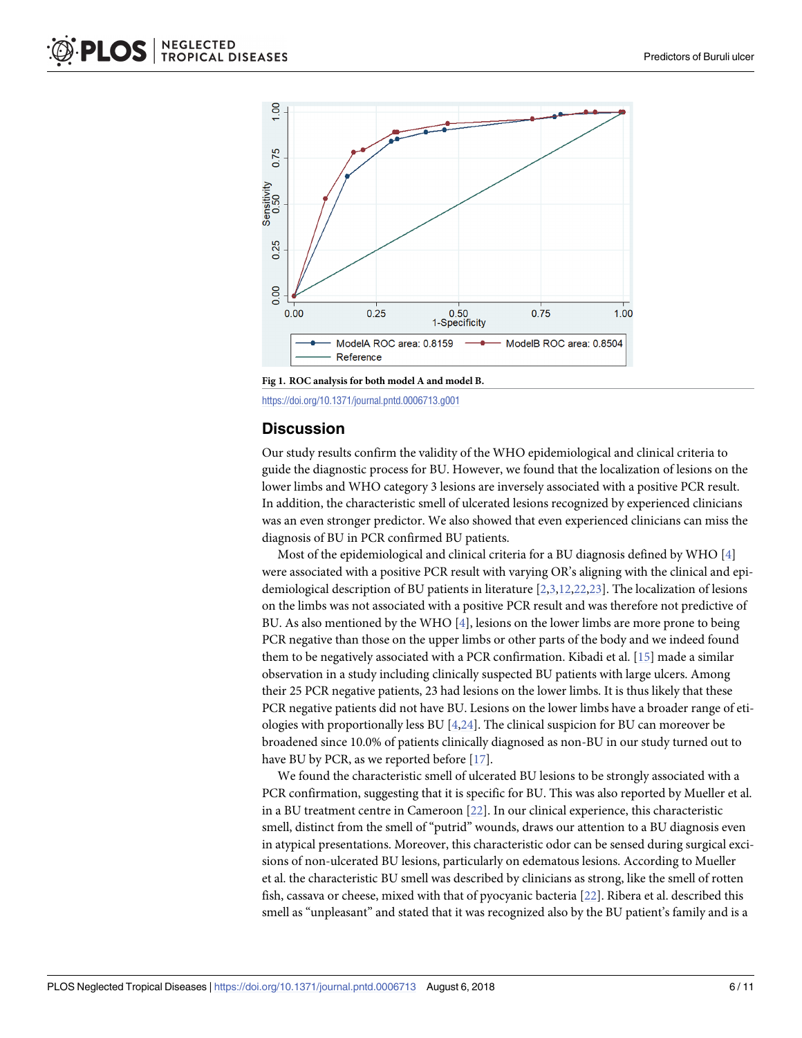<span id="page-5-0"></span>

**[Fig](#page-4-0) 1. ROC analysis for both model A and model B.**

<https://doi.org/10.1371/journal.pntd.0006713.g001>

#### **Discussion**

Our study results confirm the validity of the WHO epidemiological and clinical criteria to guide the diagnostic process for BU. However, we found that the localization of lesions on the lower limbs and WHO category 3 lesions are inversely associated with a positive PCR result. In addition, the characteristic smell of ulcerated lesions recognized by experienced clinicians was an even stronger predictor. We also showed that even experienced clinicians can miss the diagnosis of BU in PCR confirmed BU patients.

Most of the epidemiological and clinical criteria for a BU diagnosis defined by WHO [[4\]](#page-8-0) were associated with a positive PCR result with varying OR's aligning with the clinical and epidemiological description of BU patients in literature [[2](#page-8-0),[3](#page-8-0),[12](#page-8-0)[,22,23\]](#page-9-0). The localization of lesions on the limbs was not associated with a positive PCR result and was therefore not predictive of BU. As also mentioned by the WHO [[4](#page-8-0)], lesions on the lower limbs are more prone to being PCR negative than those on the upper limbs or other parts of the body and we indeed found them to be negatively associated with a PCR confirmation. Kibadi et al. [\[15\]](#page-9-0) made a similar observation in a study including clinically suspected BU patients with large ulcers. Among their 25 PCR negative patients, 23 had lesions on the lower limbs. It is thus likely that these PCR negative patients did not have BU. Lesions on the lower limbs have a broader range of etiologies with proportionally less BU [\[4,](#page-8-0)[24](#page-9-0)]. The clinical suspicion for BU can moreover be broadened since 10.0% of patients clinically diagnosed as non-BU in our study turned out to have BU by PCR, as we reported before [\[17\]](#page-9-0).

We found the characteristic smell of ulcerated BU lesions to be strongly associated with a PCR confirmation, suggesting that it is specific for BU. This was also reported by Mueller et al. in a BU treatment centre in Cameroon [\[22\]](#page-9-0). In our clinical experience, this characteristic smell, distinct from the smell of "putrid" wounds, draws our attention to a BU diagnosis even in atypical presentations. Moreover, this characteristic odor can be sensed during surgical excisions of non-ulcerated BU lesions, particularly on edematous lesions. According to Mueller et al. the characteristic BU smell was described by clinicians as strong, like the smell of rotten fish, cassava or cheese, mixed with that of pyocyanic bacteria [\[22\]](#page-9-0). Ribera et al. described this smell as "unpleasant" and stated that it was recognized also by the BU patient's family and is a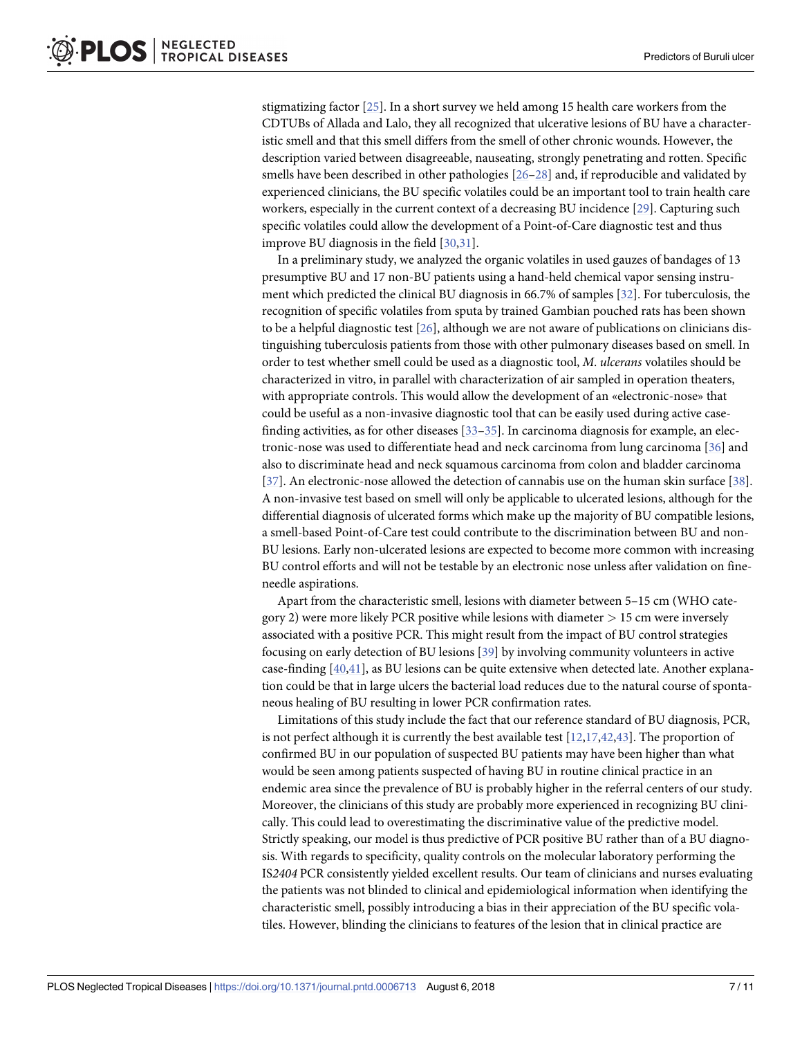<span id="page-6-0"></span>stigmatizing factor [\[25\]](#page-9-0). In a short survey we held among 15 health care workers from the CDTUBs of Allada and Lalo, they all recognized that ulcerative lesions of BU have a characteristic smell and that this smell differs from the smell of other chronic wounds. However, the description varied between disagreeable, nauseating, strongly penetrating and rotten. Specific smells have been described in other pathologies [\[26–28](#page-9-0)] and, if reproducible and validated by experienced clinicians, the BU specific volatiles could be an important tool to train health care workers, especially in the current context of a decreasing BU incidence [\[29\]](#page-9-0). Capturing such specific volatiles could allow the development of a Point-of-Care diagnostic test and thus improve BU diagnosis in the field [[30](#page-9-0),[31](#page-9-0)].

In a preliminary study, we analyzed the organic volatiles in used gauzes of bandages of 13 presumptive BU and 17 non-BU patients using a hand-held chemical vapor sensing instrument which predicted the clinical BU diagnosis in 66.7% of samples [\[32\]](#page-9-0). For tuberculosis, the recognition of specific volatiles from sputa by trained Gambian pouched rats has been shown to be a helpful diagnostic test [[26](#page-9-0)], although we are not aware of publications on clinicians distinguishing tuberculosis patients from those with other pulmonary diseases based on smell. In order to test whether smell could be used as a diagnostic tool, *M*. *ulcerans* volatiles should be characterized in vitro, in parallel with characterization of air sampled in operation theaters, with appropriate controls. This would allow the development of an «electronic-nose» that could be useful as a non-invasive diagnostic tool that can be easily used during active casefinding activities, as for other diseases [\[33–35\]](#page-10-0). In carcinoma diagnosis for example, an electronic-nose was used to differentiate head and neck carcinoma from lung carcinoma [\[36\]](#page-10-0) and also to discriminate head and neck squamous carcinoma from colon and bladder carcinoma [\[37\]](#page-10-0). An electronic-nose allowed the detection of cannabis use on the human skin surface [[38](#page-10-0)]. A non-invasive test based on smell will only be applicable to ulcerated lesions, although for the differential diagnosis of ulcerated forms which make up the majority of BU compatible lesions, a smell-based Point-of-Care test could contribute to the discrimination between BU and non-BU lesions. Early non-ulcerated lesions are expected to become more common with increasing BU control efforts and will not be testable by an electronic nose unless after validation on fineneedle aspirations.

Apart from the characteristic smell, lesions with diameter between 5–15 cm (WHO category 2) were more likely PCR positive while lesions with diameter *>* 15 cm were inversely associated with a positive PCR. This might result from the impact of BU control strategies focusing on early detection of BU lesions [[39](#page-10-0)] by involving community volunteers in active case-finding [[40,41\]](#page-10-0), as BU lesions can be quite extensive when detected late. Another explanation could be that in large ulcers the bacterial load reduces due to the natural course of spontaneous healing of BU resulting in lower PCR confirmation rates.

Limitations of this study include the fact that our reference standard of BU diagnosis, PCR, is not perfect although it is currently the best available test  $[12,17,42,43]$  $[12,17,42,43]$  $[12,17,42,43]$  $[12,17,42,43]$ . The proportion of confirmed BU in our population of suspected BU patients may have been higher than what would be seen among patients suspected of having BU in routine clinical practice in an endemic area since the prevalence of BU is probably higher in the referral centers of our study. Moreover, the clinicians of this study are probably more experienced in recognizing BU clinically. This could lead to overestimating the discriminative value of the predictive model. Strictly speaking, our model is thus predictive of PCR positive BU rather than of a BU diagnosis. With regards to specificity, quality controls on the molecular laboratory performing the IS*2404* PCR consistently yielded excellent results. Our team of clinicians and nurses evaluating the patients was not blinded to clinical and epidemiological information when identifying the characteristic smell, possibly introducing a bias in their appreciation of the BU specific volatiles. However, blinding the clinicians to features of the lesion that in clinical practice are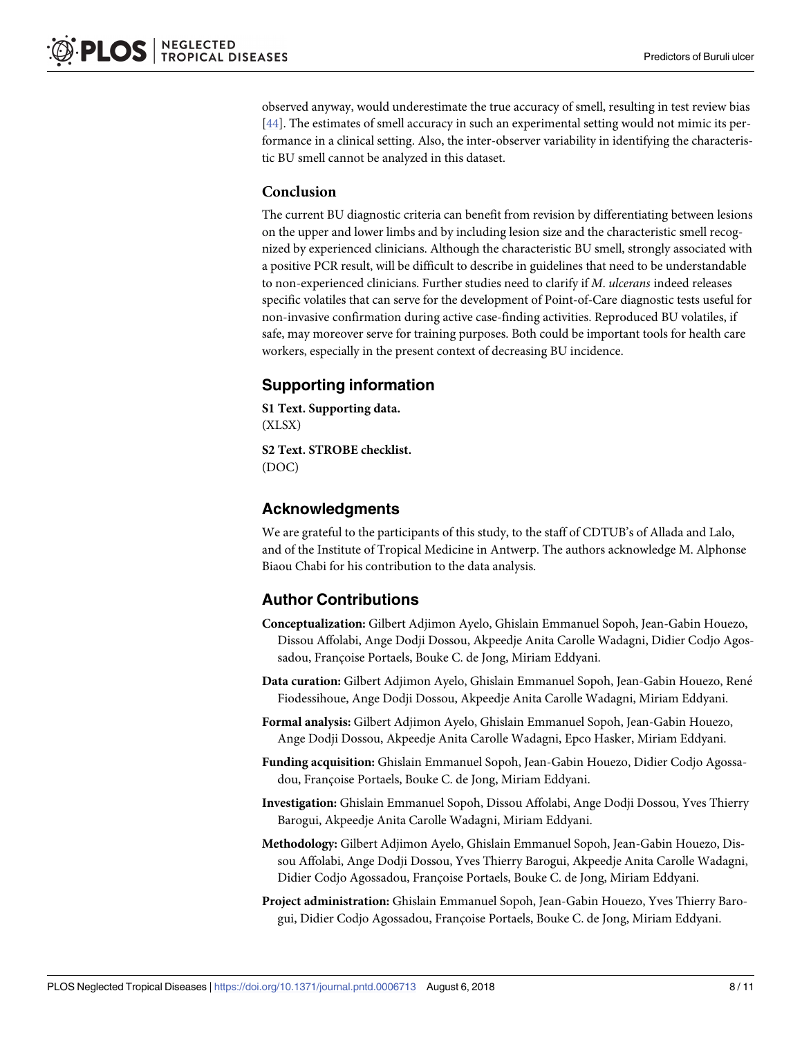<span id="page-7-0"></span>observed anyway, would underestimate the true accuracy of smell, resulting in test review bias [\[44\]](#page-10-0). The estimates of smell accuracy in such an experimental setting would not mimic its performance in a clinical setting. Also, the inter-observer variability in identifying the characteristic BU smell cannot be analyzed in this dataset.

#### **Conclusion**

The current BU diagnostic criteria can benefit from revision by differentiating between lesions on the upper and lower limbs and by including lesion size and the characteristic smell recognized by experienced clinicians. Although the characteristic BU smell, strongly associated with a positive PCR result, will be difficult to describe in guidelines that need to be understandable to non-experienced clinicians. Further studies need to clarify if *M*. *ulcerans* indeed releases specific volatiles that can serve for the development of Point-of-Care diagnostic tests useful for non-invasive confirmation during active case-finding activities. Reproduced BU volatiles, if safe, may moreover serve for training purposes. Both could be important tools for health care workers, especially in the present context of decreasing BU incidence.

# **Supporting information**

**S1 [Text](http://journals.plos.org/plosntds/article/asset?unique&id=info:doi/10.1371/journal.pntd.0006713.s001). Supporting data.** (XLSX)

**S2 [Text](http://journals.plos.org/plosntds/article/asset?unique&id=info:doi/10.1371/journal.pntd.0006713.s002). STROBE checklist.** (DOC)

# **Acknowledgments**

We are grateful to the participants of this study, to the staff of CDTUB's of Allada and Lalo, and of the Institute of Tropical Medicine in Antwerp. The authors acknowledge M. Alphonse Biaou Chabi for his contribution to the data analysis.

# **Author Contributions**

- **Conceptualization:** Gilbert Adjimon Ayelo, Ghislain Emmanuel Sopoh, Jean-Gabin Houezo, Dissou Affolabi, Ange Dodji Dossou, Akpeedje Anita Carolle Wadagni, Didier Codjo Agossadou, Françoise Portaels, Bouke C. de Jong, Miriam Eddyani.
- **Data curation:** Gilbert Adjimon Ayelo, Ghislain Emmanuel Sopoh, Jean-Gabin Houezo, Rene´ Fiodessihoue, Ange Dodji Dossou, Akpeedje Anita Carolle Wadagni, Miriam Eddyani.
- **Formal analysis:** Gilbert Adjimon Ayelo, Ghislain Emmanuel Sopoh, Jean-Gabin Houezo, Ange Dodji Dossou, Akpeedje Anita Carolle Wadagni, Epco Hasker, Miriam Eddyani.
- **Funding acquisition:** Ghislain Emmanuel Sopoh, Jean-Gabin Houezo, Didier Codjo Agossadou, Françoise Portaels, Bouke C. de Jong, Miriam Eddyani.
- **Investigation:** Ghislain Emmanuel Sopoh, Dissou Affolabi, Ange Dodji Dossou, Yves Thierry Barogui, Akpeedje Anita Carolle Wadagni, Miriam Eddyani.
- **Methodology:** Gilbert Adjimon Ayelo, Ghislain Emmanuel Sopoh, Jean-Gabin Houezo, Dissou Affolabi, Ange Dodji Dossou, Yves Thierry Barogui, Akpeedje Anita Carolle Wadagni, Didier Codjo Agossadou, Françoise Portaels, Bouke C. de Jong, Miriam Eddyani.
- **Project administration:** Ghislain Emmanuel Sopoh, Jean-Gabin Houezo, Yves Thierry Barogui, Didier Codjo Agossadou, Françoise Portaels, Bouke C. de Jong, Miriam Eddyani.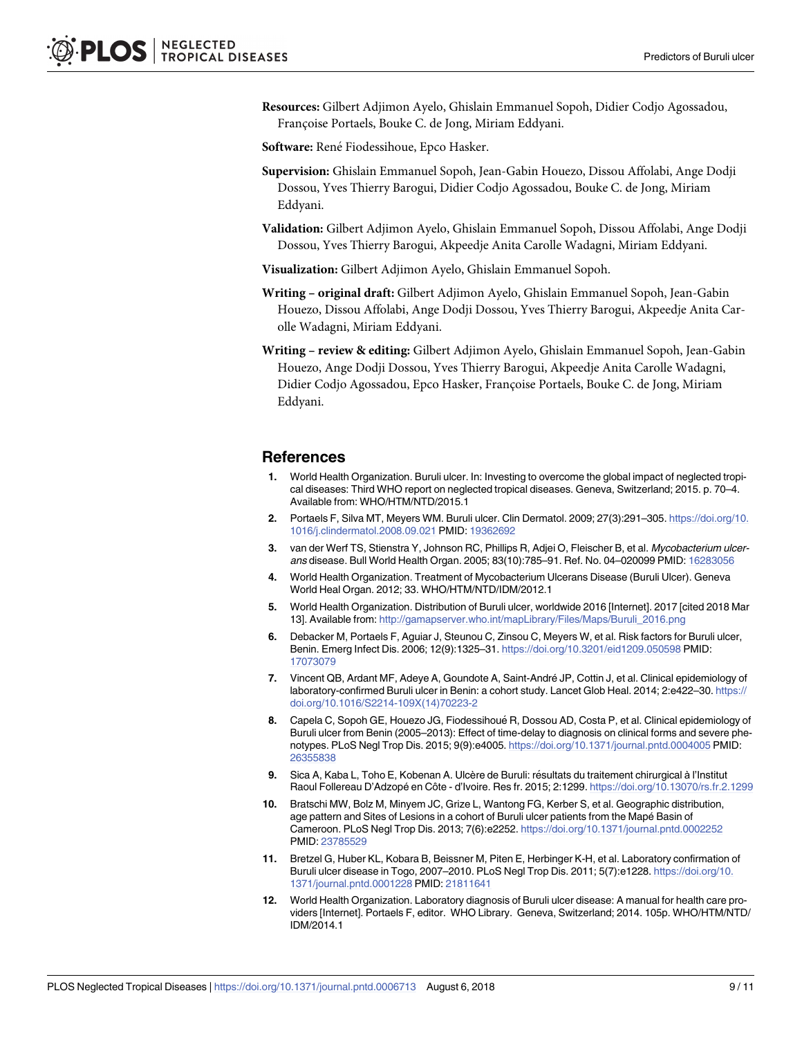<span id="page-8-0"></span>**Resources:** Gilbert Adjimon Ayelo, Ghislain Emmanuel Sopoh, Didier Codjo Agossadou, Françoise Portaels, Bouke C. de Jong, Miriam Eddyani.

**Software:** René Fiodessihoue, Epco Hasker.

- **Supervision:** Ghislain Emmanuel Sopoh, Jean-Gabin Houezo, Dissou Affolabi, Ange Dodji Dossou, Yves Thierry Barogui, Didier Codjo Agossadou, Bouke C. de Jong, Miriam Eddyani.
- **Validation:** Gilbert Adjimon Ayelo, Ghislain Emmanuel Sopoh, Dissou Affolabi, Ange Dodji Dossou, Yves Thierry Barogui, Akpeedje Anita Carolle Wadagni, Miriam Eddyani.
- **Visualization:** Gilbert Adjimon Ayelo, Ghislain Emmanuel Sopoh.
- **Writing – original draft:** Gilbert Adjimon Ayelo, Ghislain Emmanuel Sopoh, Jean-Gabin Houezo, Dissou Affolabi, Ange Dodji Dossou, Yves Thierry Barogui, Akpeedje Anita Carolle Wadagni, Miriam Eddyani.
- **Writing – review & editing:** Gilbert Adjimon Ayelo, Ghislain Emmanuel Sopoh, Jean-Gabin Houezo, Ange Dodji Dossou, Yves Thierry Barogui, Akpeedje Anita Carolle Wadagni, Didier Codjo Agossadou, Epco Hasker, Francoise Portaels, Bouke C. de Jong, Miriam Eddyani.

#### **References**

- **[1](#page-1-0).** World Health Organization. Buruli ulcer. In: Investing to overcome the global impact of neglected tropical diseases: Third WHO report on neglected tropical diseases. Geneva, Switzerland; 2015. p. 70–4. Available from: WHO/HTM/NTD/2015.1
- **[2](#page-1-0).** Portaels F, Silva MT, Meyers WM. Buruli ulcer. Clin Dermatol. 2009; 27(3):291–305. [https://doi.org/10.](https://doi.org/10.1016/j.clindermatol.2008.09.021) [1016/j.clindermatol.2008.09.021](https://doi.org/10.1016/j.clindermatol.2008.09.021) PMID: [19362692](http://www.ncbi.nlm.nih.gov/pubmed/19362692)
- **[3](#page-1-0).** van der Werf TS, Stienstra Y, Johnson RC, Phillips R, Adjei O, Fleischer B, et al. Mycobacterium ulcerans disease. Bull World Health Organ. 2005; 83(10):785–91. Ref. No. 04–020099 PMID: [16283056](http://www.ncbi.nlm.nih.gov/pubmed/16283056)
- **[4](#page-1-0).** World Health Organization. Treatment of Mycobacterium Ulcerans Disease (Buruli Ulcer). Geneva World Heal Organ. 2012; 33. WHO/HTM/NTD/IDM/2012.1
- **[5](#page-1-0).** World Health Organization. Distribution of Buruli ulcer, worldwide 2016 [Internet]. 2017 [cited 2018 Mar 13]. Available from: [http://gamapserver.who.int/mapLibrary/Files/Maps/Buruli\\_2016.png](http://gamapserver.who.int/mapLibrary/Files/Maps/Buruli_2016.png)
- **[6](#page-1-0).** Debacker M, Portaels F, Aguiar J, Steunou C, Zinsou C, Meyers W, et al. Risk factors for Buruli ulcer, Benin. Emerg Infect Dis. 2006; 12(9):1325–31. <https://doi.org/10.3201/eid1209.050598> PMID: [17073079](http://www.ncbi.nlm.nih.gov/pubmed/17073079)
- **[7](#page-1-0).** Vincent QB, Ardant MF, Adeye A, Goundote A, Saint-Andre´ JP, Cottin J, et al. Clinical epidemiology of laboratory-confirmed Buruli ulcer in Benin: a cohort study. Lancet Glob Heal. 2014; 2:e422–30. [https://](https://doi.org/10.1016/S2214-109X(14)70223-2) [doi.org/10.1016/S2214-109X\(14\)70223-2](https://doi.org/10.1016/S2214-109X(14)70223-2)
- [8](#page-1-0). Capela C, Sopoh GE, Houezo JG, Fiodessihoué R, Dossou AD, Costa P, et al. Clinical epidemiology of Buruli ulcer from Benin (2005–2013): Effect of time-delay to diagnosis on clinical forms and severe phenotypes. PLoS Negl Trop Dis. 2015; 9(9):e4005. <https://doi.org/10.1371/journal.pntd.0004005> PMID: [26355838](http://www.ncbi.nlm.nih.gov/pubmed/26355838)
- **9.** Sica A, Kaba L, Toho E, Kobenan A. Ulcère de Buruli: résultats du traitement chirurgical à l'Institut Raoul Follereau D'Adzopé en Côte - d'Ivoire. Res fr. 2015; 2:1299. <https://doi.org/10.13070/rs.fr.2.1299>
- **10.** Bratschi MW, Bolz M, Minyem JC, Grize L, Wantong FG, Kerber S, et al. Geographic distribution, age pattern and Sites of Lesions in a cohort of Buruli ulcer patients from the Mapé Basin of Cameroon. PLoS Negl Trop Dis. 2013; 7(6):e2252. <https://doi.org/10.1371/journal.pntd.0002252> PMID: [23785529](http://www.ncbi.nlm.nih.gov/pubmed/23785529)
- **[11](#page-1-0).** Bretzel G, Huber KL, Kobara B, Beissner M, Piten E, Herbinger K-H, et al. Laboratory confirmation of Buruli ulcer disease in Togo, 2007–2010. PLoS Negl Trop Dis. 2011; 5(7):e1228. [https://doi.org/10.](https://doi.org/10.1371/journal.pntd.0001228) [1371/journal.pntd.0001228](https://doi.org/10.1371/journal.pntd.0001228) PMID: [21811641](http://www.ncbi.nlm.nih.gov/pubmed/21811641)
- **[12](#page-1-0).** World Health Organization. Laboratory diagnosis of Buruli ulcer disease: A manual for health care providers [Internet]. Portaels F, editor. WHO Library. Geneva, Switzerland; 2014. 105p. WHO/HTM/NTD/ IDM/2014.1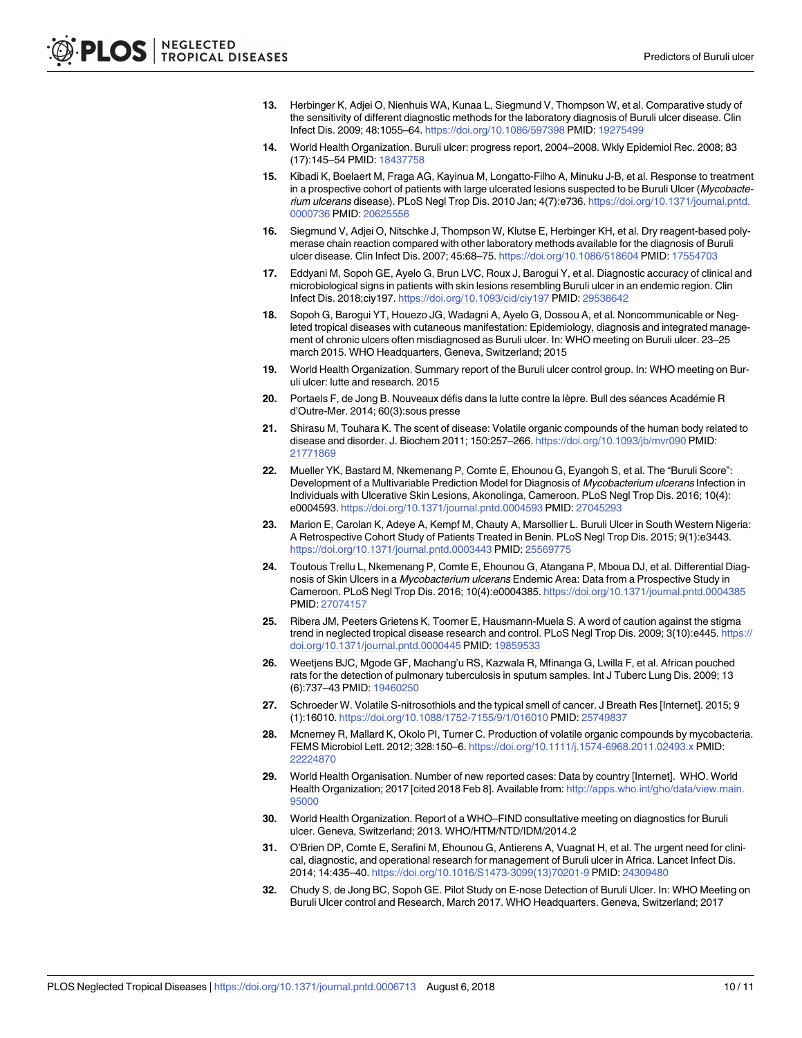- <span id="page-9-0"></span>**13.** Herbinger K, Adjei O, Nienhuis WA, Kunaa L, Siegmund V, Thompson W, et al. Comparative study of the sensitivity of different diagnostic methods for the laboratory diagnosis of Buruli ulcer disease. Clin Infect Dis. 2009; 48:1055–64. <https://doi.org/10.1086/597398> PMID: [19275499](http://www.ncbi.nlm.nih.gov/pubmed/19275499)
- **[14](#page-1-0).** World Health Organization. Buruli ulcer: progress report, 2004–2008. Wkly Epidemiol Rec. 2008; 83 (17):145–54 PMID: [18437758](http://www.ncbi.nlm.nih.gov/pubmed/18437758)
- **[15](#page-1-0).** Kibadi K, Boelaert M, Fraga AG, Kayinua M, Longatto-Filho A, Minuku J-B, et al. Response to treatment in a prospective cohort of patients with large ulcerated lesions suspected to be Buruli Ulcer (Mycobacterium ulcerans disease). PLoS Negl Trop Dis. 2010 Jan; 4(7):e736. [https://doi.org/10.1371/journal.pntd.](https://doi.org/10.1371/journal.pntd.0000736) [0000736](https://doi.org/10.1371/journal.pntd.0000736) PMID: [20625556](http://www.ncbi.nlm.nih.gov/pubmed/20625556)
- **16.** Siegmund V, Adjei O, Nitschke J, Thompson W, Klutse E, Herbinger KH, et al. Dry reagent-based polymerase chain reaction compared with other laboratory methods available for the diagnosis of Buruli ulcer disease. Clin Infect Dis. 2007; 45:68–75. <https://doi.org/10.1086/518604> PMID: [17554703](http://www.ncbi.nlm.nih.gov/pubmed/17554703)
- **[17](#page-1-0).** Eddyani M, Sopoh GE, Ayelo G, Brun LVC, Roux J, Barogui Y, et al. Diagnostic accuracy of clinical and microbiological signs in patients with skin lesions resembling Buruli ulcer in an endemic region. Clin Infect Dis. 2018;ciy197. <https://doi.org/10.1093/cid/ciy197> PMID: [29538642](http://www.ncbi.nlm.nih.gov/pubmed/29538642)
- **[18](#page-1-0).** Sopoh G, Barogui YT, Houezo JG, Wadagni A, Ayelo G, Dossou A, et al. Noncommunicable or Negleted tropical diseases with cutaneous manifestation: Epidemiology, diagnosis and integrated management of chronic ulcers often misdiagnosed as Buruli ulcer. In: WHO meeting on Buruli ulcer. 23–25 march 2015. WHO Headquarters, Geneva, Switzerland; 2015
- **[19](#page-1-0).** World Health Organization. Summary report of the Buruli ulcer control group. In: WHO meeting on Buruli ulcer: lutte and research. 2015
- **[20](#page-1-0).** Portaels F, de Jong B. Nouveaux défis dans la lutte contre la lèpre. Bull des séances Académie R d'Outre-Mer. 2014; 60(3):sous presse
- **[21](#page-2-0).** Shirasu M, Touhara K. The scent of disease: Volatile organic compounds of the human body related to disease and disorder. J. Biochem 2011; 150:257–266. <https://doi.org/10.1093/jb/mvr090> PMID: [21771869](http://www.ncbi.nlm.nih.gov/pubmed/21771869)
- **[22](#page-2-0).** Mueller YK, Bastard M, Nkemenang P, Comte E, Ehounou G, Eyangoh S, et al. The "Buruli Score": Development of a Multivariable Prediction Model for Diagnosis of Mycobacterium ulcerans Infection in Individuals with Ulcerative Skin Lesions, Akonolinga, Cameroon. PLoS Negl Trop Dis. 2016; 10(4): e0004593. <https://doi.org/10.1371/journal.pntd.0004593> PMID: [27045293](http://www.ncbi.nlm.nih.gov/pubmed/27045293)
- **[23](#page-5-0).** Marion E, Carolan K, Adeye A, Kempf M, Chauty A, Marsollier L. Buruli Ulcer in South Western Nigeria: A Retrospective Cohort Study of Patients Treated in Benin. PLoS Negl Trop Dis. 2015; 9(1):e3443. <https://doi.org/10.1371/journal.pntd.0003443> PMID: [25569775](http://www.ncbi.nlm.nih.gov/pubmed/25569775)
- **[24](#page-5-0).** Toutous Trellu L, Nkemenang P, Comte E, Ehounou G, Atangana P, Mboua DJ, et al. Differential Diagnosis of Skin Ulcers in a Mycobacterium ulcerans Endemic Area: Data from a Prospective Study in Cameroon. PLoS Negl Trop Dis. 2016; 10(4):e0004385. <https://doi.org/10.1371/journal.pntd.0004385> PMID: [27074157](http://www.ncbi.nlm.nih.gov/pubmed/27074157)
- **[25](#page-6-0).** Ribera JM, Peeters Grietens K, Toomer E, Hausmann-Muela S. A word of caution against the stigma trend in neglected tropical disease research and control. PLoS Negl Trop Dis. 2009; 3(10):e445. [https://](https://doi.org/10.1371/journal.pntd.0000445) [doi.org/10.1371/journal.pntd.0000445](https://doi.org/10.1371/journal.pntd.0000445) PMID: [19859533](http://www.ncbi.nlm.nih.gov/pubmed/19859533)
- **[26](#page-6-0).** Weetjens BJC, Mgode GF, Machang'u RS, Kazwala R, Mfinanga G, Lwilla F, et al. African pouched rats for the detection of pulmonary tuberculosis in sputum samples. Int J Tuberc Lung Dis. 2009; 13 (6):737–43 PMID: [19460250](http://www.ncbi.nlm.nih.gov/pubmed/19460250)
- **27.** Schroeder W. Volatile S-nitrosothiols and the typical smell of cancer. J Breath Res [Internet]. 2015; 9 (1):16010. <https://doi.org/10.1088/1752-7155/9/1/016010> PMID: [25749837](http://www.ncbi.nlm.nih.gov/pubmed/25749837)
- **[28](#page-6-0).** Mcnerney R, Mallard K, Okolo PI, Turner C. Production of volatile organic compounds by mycobacteria. FEMS Microbiol Lett. 2012; 328:150–6. <https://doi.org/10.1111/j.1574-6968.2011.02493.x> PMID: [22224870](http://www.ncbi.nlm.nih.gov/pubmed/22224870)
- **[29](#page-6-0).** World Health Organisation. Number of new reported cases: Data by country [Internet]. WHO. World Health Organization; 2017 [cited 2018 Feb 8]. Available from: [http://apps.who.int/gho/data/view.main.](http://apps.who.int/gho/data/view.main.95000) [95000](http://apps.who.int/gho/data/view.main.95000)
- **[30](#page-6-0).** World Health Organization. Report of a WHO–FIND consultative meeting on diagnostics for Buruli ulcer. Geneva, Switzerland; 2013. WHO/HTM/NTD/IDM/2014.2
- **[31](#page-6-0).** O'Brien DP, Comte E, Serafini M, Ehounou G, Antierens A, Vuagnat H, et al. The urgent need for clinical, diagnostic, and operational research for management of Buruli ulcer in Africa. Lancet Infect Dis. 2014; 14:435–40. [https://doi.org/10.1016/S1473-3099\(13\)70201-9](https://doi.org/10.1016/S1473-3099(13)70201-9) PMID: [24309480](http://www.ncbi.nlm.nih.gov/pubmed/24309480)
- **[32](#page-6-0).** Chudy S, de Jong BC, Sopoh GE. Pilot Study on E-nose Detection of Buruli Ulcer. In: WHO Meeting on Buruli Ulcer control and Research, March 2017. WHO Headquarters. Geneva, Switzerland; 2017